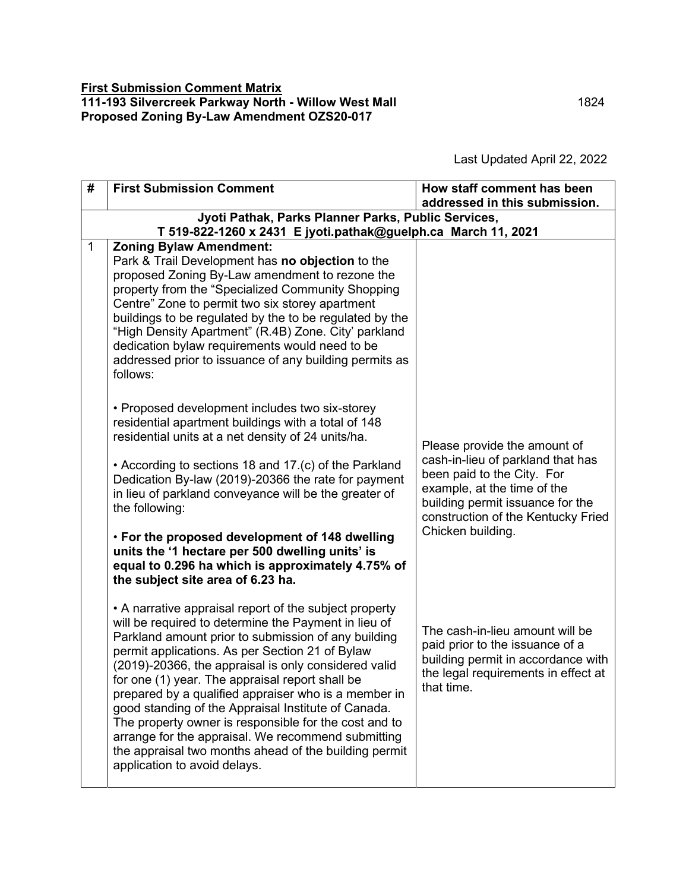Last Updated April 22, 2022

| #            | <b>First Submission Comment</b>                                                                                                                                                                                                                                                                                                                                                                                                                                                                                                                                                                                                                            | How staff comment has been<br>addressed in this submission.                                                                                                              |  |  |
|--------------|------------------------------------------------------------------------------------------------------------------------------------------------------------------------------------------------------------------------------------------------------------------------------------------------------------------------------------------------------------------------------------------------------------------------------------------------------------------------------------------------------------------------------------------------------------------------------------------------------------------------------------------------------------|--------------------------------------------------------------------------------------------------------------------------------------------------------------------------|--|--|
|              | Jyoti Pathak, Parks Planner Parks, Public Services,                                                                                                                                                                                                                                                                                                                                                                                                                                                                                                                                                                                                        |                                                                                                                                                                          |  |  |
| $\mathbf{1}$ | T 519-822-1260 x 2431 E jyoti.pathak@guelph.ca March 11, 2021<br><b>Zoning Bylaw Amendment:</b>                                                                                                                                                                                                                                                                                                                                                                                                                                                                                                                                                            |                                                                                                                                                                          |  |  |
|              | Park & Trail Development has no objection to the<br>proposed Zoning By-Law amendment to rezone the<br>property from the "Specialized Community Shopping<br>Centre" Zone to permit two six storey apartment<br>buildings to be regulated by the to be regulated by the<br>"High Density Apartment" (R.4B) Zone. City' parkland<br>dedication bylaw requirements would need to be<br>addressed prior to issuance of any building permits as<br>follows:                                                                                                                                                                                                      |                                                                                                                                                                          |  |  |
|              | • Proposed development includes two six-storey<br>residential apartment buildings with a total of 148<br>residential units at a net density of 24 units/ha.                                                                                                                                                                                                                                                                                                                                                                                                                                                                                                | Please provide the amount of                                                                                                                                             |  |  |
|              | • According to sections 18 and 17.(c) of the Parkland<br>Dedication By-law (2019)-20366 the rate for payment<br>in lieu of parkland conveyance will be the greater of<br>the following:                                                                                                                                                                                                                                                                                                                                                                                                                                                                    | cash-in-lieu of parkland that has<br>been paid to the City. For<br>example, at the time of the<br>building permit issuance for the<br>construction of the Kentucky Fried |  |  |
|              | • For the proposed development of 148 dwelling<br>units the '1 hectare per 500 dwelling units' is<br>equal to 0.296 ha which is approximately 4.75% of<br>the subject site area of 6.23 ha.                                                                                                                                                                                                                                                                                                                                                                                                                                                                | Chicken building.                                                                                                                                                        |  |  |
|              | • A narrative appraisal report of the subject property<br>will be required to determine the Payment in lieu of<br>Parkland amount prior to submission of any building<br>permit applications. As per Section 21 of Bylaw<br>(2019)-20366, the appraisal is only considered valid<br>for one (1) year. The appraisal report shall be<br>prepared by a qualified appraiser who is a member in<br>good standing of the Appraisal Institute of Canada.<br>The property owner is responsible for the cost and to<br>arrange for the appraisal. We recommend submitting<br>the appraisal two months ahead of the building permit<br>application to avoid delays. | The cash-in-lieu amount will be<br>paid prior to the issuance of a<br>building permit in accordance with<br>the legal requirements in effect at<br>that time.            |  |  |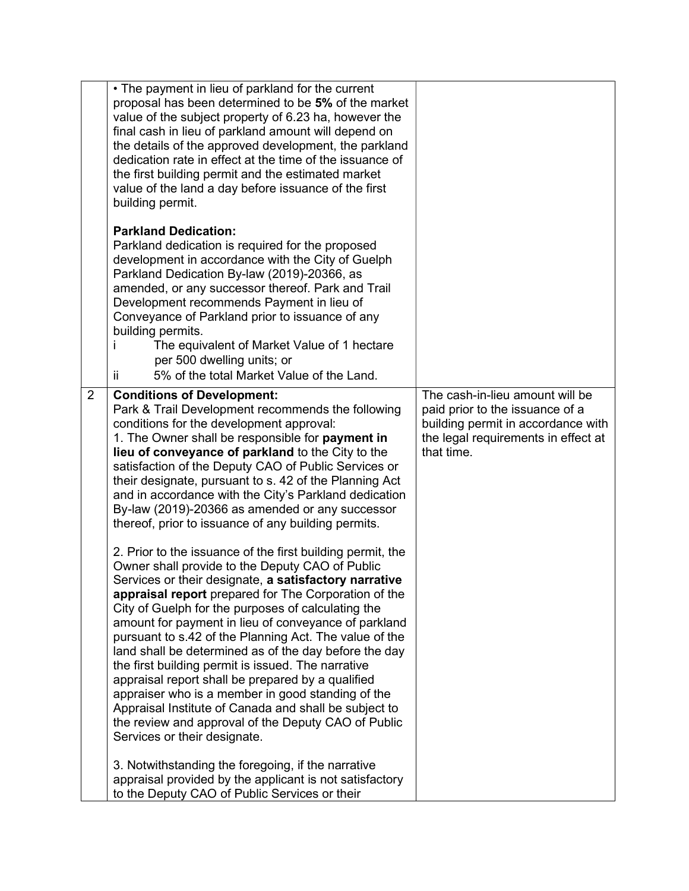|                | • The payment in lieu of parkland for the current<br>proposal has been determined to be 5% of the market<br>value of the subject property of 6.23 ha, however the<br>final cash in lieu of parkland amount will depend on<br>the details of the approved development, the parkland<br>dedication rate in effect at the time of the issuance of<br>the first building permit and the estimated market<br>value of the land a day before issuance of the first<br>building permit.                                                                                                                                                                                                                                                                                                |                                                                                                                                                               |
|----------------|---------------------------------------------------------------------------------------------------------------------------------------------------------------------------------------------------------------------------------------------------------------------------------------------------------------------------------------------------------------------------------------------------------------------------------------------------------------------------------------------------------------------------------------------------------------------------------------------------------------------------------------------------------------------------------------------------------------------------------------------------------------------------------|---------------------------------------------------------------------------------------------------------------------------------------------------------------|
|                | <b>Parkland Dedication:</b><br>Parkland dedication is required for the proposed<br>development in accordance with the City of Guelph<br>Parkland Dedication By-law (2019)-20366, as<br>amended, or any successor thereof. Park and Trail<br>Development recommends Payment in lieu of<br>Conveyance of Parkland prior to issuance of any<br>building permits.<br>The equivalent of Market Value of 1 hectare<br>per 500 dwelling units; or<br>5% of the total Market Value of the Land.<br>ii.                                                                                                                                                                                                                                                                                  |                                                                                                                                                               |
| $\overline{2}$ | <b>Conditions of Development:</b><br>Park & Trail Development recommends the following<br>conditions for the development approval:<br>1. The Owner shall be responsible for payment in<br>lieu of conveyance of parkland to the City to the<br>satisfaction of the Deputy CAO of Public Services or<br>their designate, pursuant to s. 42 of the Planning Act<br>and in accordance with the City's Parkland dedication<br>By-law (2019)-20366 as amended or any successor<br>thereof, prior to issuance of any building permits.                                                                                                                                                                                                                                                | The cash-in-lieu amount will be<br>paid prior to the issuance of a<br>building permit in accordance with<br>the legal requirements in effect at<br>that time. |
|                | 2. Prior to the issuance of the first building permit, the<br>Owner shall provide to the Deputy CAO of Public<br>Services or their designate, a satisfactory narrative<br>appraisal report prepared for The Corporation of the<br>City of Guelph for the purposes of calculating the<br>amount for payment in lieu of conveyance of parkland<br>pursuant to s.42 of the Planning Act. The value of the<br>land shall be determined as of the day before the day<br>the first building permit is issued. The narrative<br>appraisal report shall be prepared by a qualified<br>appraiser who is a member in good standing of the<br>Appraisal Institute of Canada and shall be subject to<br>the review and approval of the Deputy CAO of Public<br>Services or their designate. |                                                                                                                                                               |
|                | 3. Notwithstanding the foregoing, if the narrative<br>appraisal provided by the applicant is not satisfactory<br>to the Deputy CAO of Public Services or their                                                                                                                                                                                                                                                                                                                                                                                                                                                                                                                                                                                                                  |                                                                                                                                                               |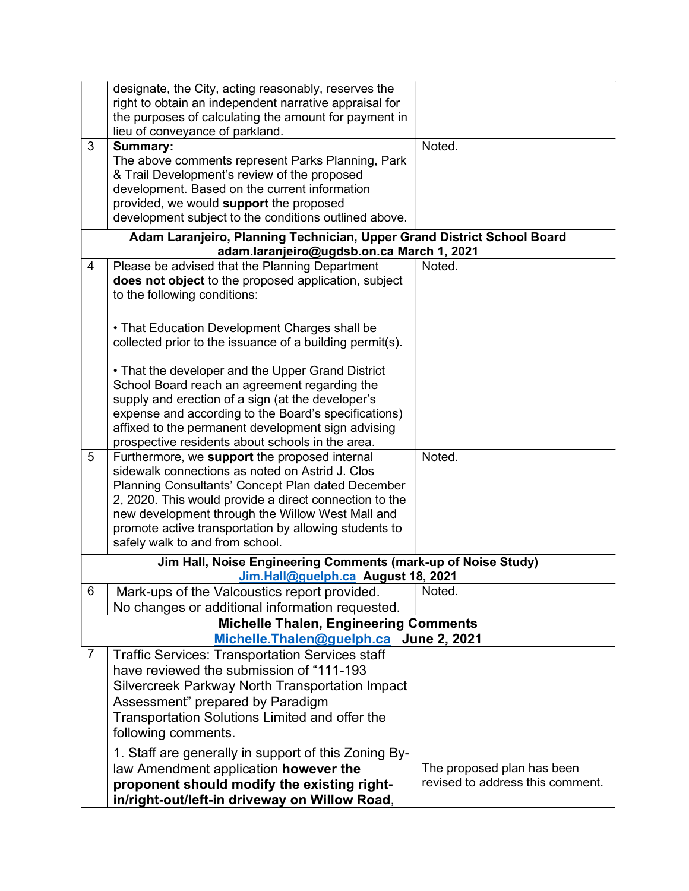|                | designate, the City, acting reasonably, reserves the<br>right to obtain an independent narrative appraisal for<br>the purposes of calculating the amount for payment in<br>lieu of conveyance of parkland.                                                                                                                |                                  |
|----------------|---------------------------------------------------------------------------------------------------------------------------------------------------------------------------------------------------------------------------------------------------------------------------------------------------------------------------|----------------------------------|
| 3              | Summary:<br>The above comments represent Parks Planning, Park<br>& Trail Development's review of the proposed<br>development. Based on the current information<br>provided, we would support the proposed<br>development subject to the conditions outlined above.                                                        | Noted.                           |
|                | Adam Laranjeiro, Planning Technician, Upper Grand District School Board<br>adam.laranjeiro@ugdsb.on.ca March 1, 2021                                                                                                                                                                                                      |                                  |
| 4              | Please be advised that the Planning Department<br>does not object to the proposed application, subject<br>to the following conditions:                                                                                                                                                                                    | Noted.                           |
|                | • That Education Development Charges shall be<br>collected prior to the issuance of a building permit(s).                                                                                                                                                                                                                 |                                  |
|                | • That the developer and the Upper Grand District<br>School Board reach an agreement regarding the<br>supply and erection of a sign (at the developer's<br>expense and according to the Board's specifications)<br>affixed to the permanent development sign advising<br>prospective residents about schools in the area. |                                  |
| 5              | Furthermore, we support the proposed internal<br>sidewalk connections as noted on Astrid J. Clos                                                                                                                                                                                                                          | Noted.                           |
|                | Planning Consultants' Concept Plan dated December<br>2, 2020. This would provide a direct connection to the                                                                                                                                                                                                               |                                  |
|                | new development through the Willow West Mall and                                                                                                                                                                                                                                                                          |                                  |
|                | promote active transportation by allowing students to<br>safely walk to and from school.                                                                                                                                                                                                                                  |                                  |
|                | Jim Hall, Noise Engineering Comments (mark-up of Noise Study)                                                                                                                                                                                                                                                             |                                  |
| 6              | Jim.Hall@guelph.ca August 18, 2021<br>Mark-ups of the Valcoustics report provided.                                                                                                                                                                                                                                        | Noted.                           |
|                | No changes or additional information requested.                                                                                                                                                                                                                                                                           |                                  |
|                | <b>Michelle Thalen, Engineering Comments</b>                                                                                                                                                                                                                                                                              |                                  |
|                | Michelle.Thalen@guelph.ca                                                                                                                                                                                                                                                                                                 | <b>June 2, 2021</b>              |
| $\overline{7}$ | <b>Traffic Services: Transportation Services staff</b><br>have reviewed the submission of "111-193                                                                                                                                                                                                                        |                                  |
|                | Silvercreek Parkway North Transportation Impact                                                                                                                                                                                                                                                                           |                                  |
|                | Assessment" prepared by Paradigm                                                                                                                                                                                                                                                                                          |                                  |
|                | Transportation Solutions Limited and offer the<br>following comments.                                                                                                                                                                                                                                                     |                                  |
|                | 1. Staff are generally in support of this Zoning By-                                                                                                                                                                                                                                                                      |                                  |
|                | law Amendment application however the                                                                                                                                                                                                                                                                                     | The proposed plan has been       |
|                | proponent should modify the existing right-                                                                                                                                                                                                                                                                               | revised to address this comment. |
|                | in/right-out/left-in driveway on Willow Road,                                                                                                                                                                                                                                                                             |                                  |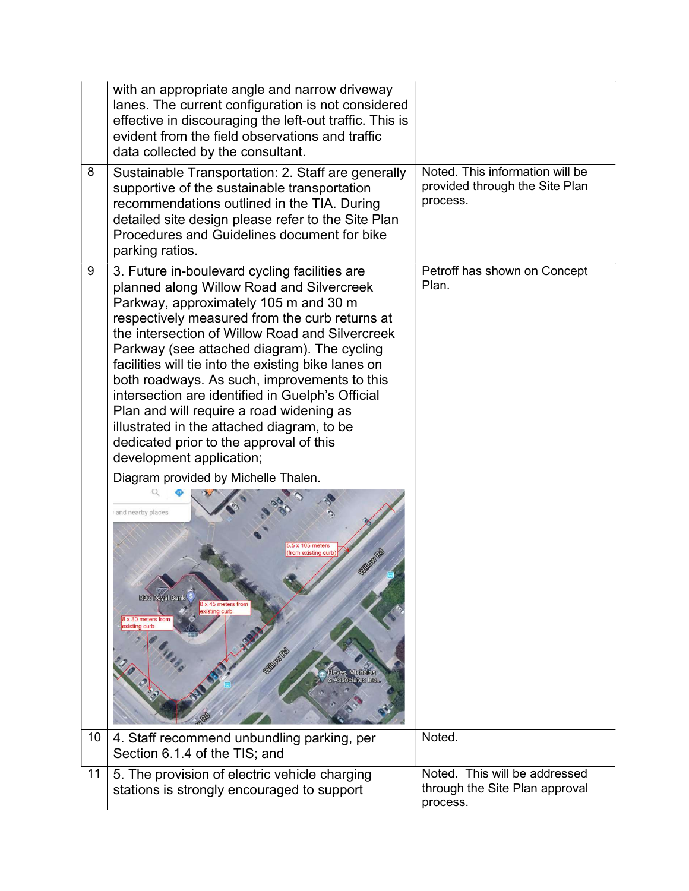|    | with an appropriate angle and narrow driveway<br>lanes. The current configuration is not considered<br>effective in discouraging the left-out traffic. This is<br>evident from the field observations and traffic<br>data collected by the consultant.                                                                                                                                                                                                                                                                                                                                                                                                                                                                                                                                                                                                                            |                                                                               |
|----|-----------------------------------------------------------------------------------------------------------------------------------------------------------------------------------------------------------------------------------------------------------------------------------------------------------------------------------------------------------------------------------------------------------------------------------------------------------------------------------------------------------------------------------------------------------------------------------------------------------------------------------------------------------------------------------------------------------------------------------------------------------------------------------------------------------------------------------------------------------------------------------|-------------------------------------------------------------------------------|
| 8  | Sustainable Transportation: 2. Staff are generally<br>supportive of the sustainable transportation<br>recommendations outlined in the TIA. During<br>detailed site design please refer to the Site Plan<br>Procedures and Guidelines document for bike<br>parking ratios.                                                                                                                                                                                                                                                                                                                                                                                                                                                                                                                                                                                                         | Noted. This information will be<br>provided through the Site Plan<br>process. |
| 9  | 3. Future in-boulevard cycling facilities are<br>planned along Willow Road and Silvercreek<br>Parkway, approximately 105 m and 30 m<br>respectively measured from the curb returns at<br>the intersection of Willow Road and Silvercreek<br>Parkway (see attached diagram). The cycling<br>facilities will tie into the existing bike lanes on<br>both roadways. As such, improvements to this<br>intersection are identified in Guelph's Official<br>Plan and will require a road widening as<br>illustrated in the attached diagram, to be<br>dedicated prior to the approval of this<br>development application;<br>Diagram provided by Michelle Thalen.<br>and nearby places<br>5 x 105 meters<br>from existing curb<br><b>SOMONE</b><br><b>RBC Royal Bar</b><br>8 x 45 meters from<br>existing curb<br>8 x 30 meters from<br>existing curb<br><b>Michalos</b><br>ociates Inc | Petroff has shown on Concept<br>Plan.                                         |
| 10 | 4. Staff recommend unbundling parking, per<br>Section 6.1.4 of the TIS; and                                                                                                                                                                                                                                                                                                                                                                                                                                                                                                                                                                                                                                                                                                                                                                                                       | Noted.                                                                        |
| 11 | 5. The provision of electric vehicle charging<br>stations is strongly encouraged to support                                                                                                                                                                                                                                                                                                                                                                                                                                                                                                                                                                                                                                                                                                                                                                                       | Noted. This will be addressed<br>through the Site Plan approval<br>process.   |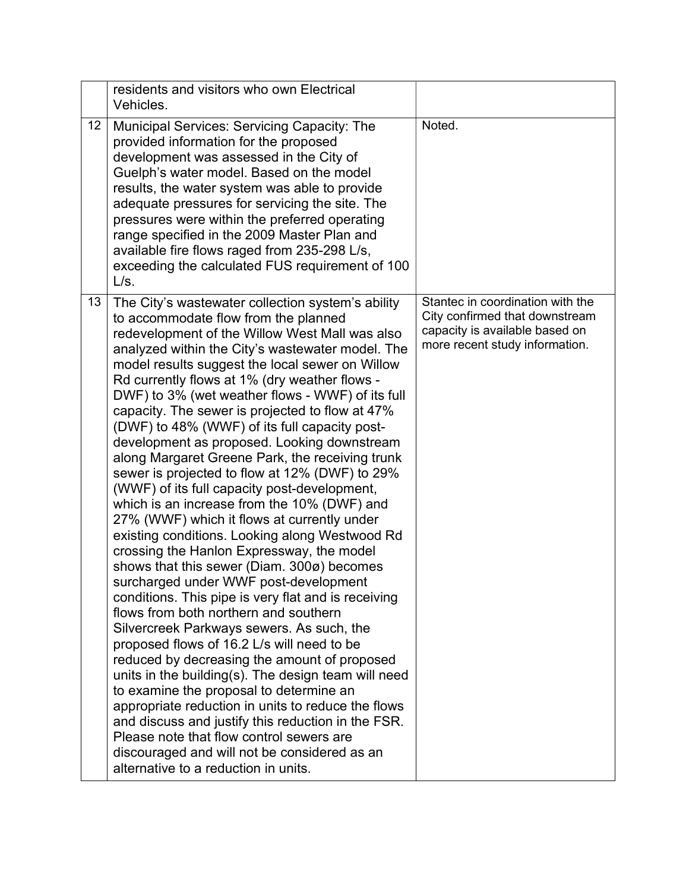|    | residents and visitors who own Electrical<br>Vehicles.                                                                                                                                                                                                                                                                                                                                                                                                                                                                                                                                                                                                                                                                                                                                                                                                                                                                                                                                                                                                                                                                                                                                                                                                                                                                                                                                                                                                                                                                                           |                                                                                                                                        |
|----|--------------------------------------------------------------------------------------------------------------------------------------------------------------------------------------------------------------------------------------------------------------------------------------------------------------------------------------------------------------------------------------------------------------------------------------------------------------------------------------------------------------------------------------------------------------------------------------------------------------------------------------------------------------------------------------------------------------------------------------------------------------------------------------------------------------------------------------------------------------------------------------------------------------------------------------------------------------------------------------------------------------------------------------------------------------------------------------------------------------------------------------------------------------------------------------------------------------------------------------------------------------------------------------------------------------------------------------------------------------------------------------------------------------------------------------------------------------------------------------------------------------------------------------------------|----------------------------------------------------------------------------------------------------------------------------------------|
| 12 | Municipal Services: Servicing Capacity: The<br>provided information for the proposed<br>development was assessed in the City of<br>Guelph's water model. Based on the model<br>results, the water system was able to provide<br>adequate pressures for servicing the site. The<br>pressures were within the preferred operating<br>range specified in the 2009 Master Plan and<br>available fire flows raged from 235-298 L/s,<br>exceeding the calculated FUS requirement of 100<br>L/s.                                                                                                                                                                                                                                                                                                                                                                                                                                                                                                                                                                                                                                                                                                                                                                                                                                                                                                                                                                                                                                                        | Noted.                                                                                                                                 |
| 13 | The City's wastewater collection system's ability<br>to accommodate flow from the planned<br>redevelopment of the Willow West Mall was also<br>analyzed within the City's wastewater model. The<br>model results suggest the local sewer on Willow<br>Rd currently flows at 1% (dry weather flows -<br>DWF) to 3% (wet weather flows - WWF) of its full<br>capacity. The sewer is projected to flow at 47%<br>(DWF) to 48% (WWF) of its full capacity post-<br>development as proposed. Looking downstream<br>along Margaret Greene Park, the receiving trunk<br>sewer is projected to flow at 12% (DWF) to 29%<br>(WWF) of its full capacity post-development,<br>which is an increase from the 10% (DWF) and<br>27% (WWF) which it flows at currently under<br>existing conditions. Looking along Westwood Rd<br>crossing the Hanlon Expressway, the model<br>shows that this sewer (Diam. 300ø) becomes<br>surcharged under WWF post-development<br>conditions. This pipe is very flat and is receiving<br>flows from both northern and southern<br>Silvercreek Parkways sewers. As such, the<br>proposed flows of 16.2 L/s will need to be<br>reduced by decreasing the amount of proposed<br>units in the building(s). The design team will need<br>to examine the proposal to determine an<br>appropriate reduction in units to reduce the flows<br>and discuss and justify this reduction in the FSR.<br>Please note that flow control sewers are<br>discouraged and will not be considered as an<br>alternative to a reduction in units. | Stantec in coordination with the<br>City confirmed that downstream<br>capacity is available based on<br>more recent study information. |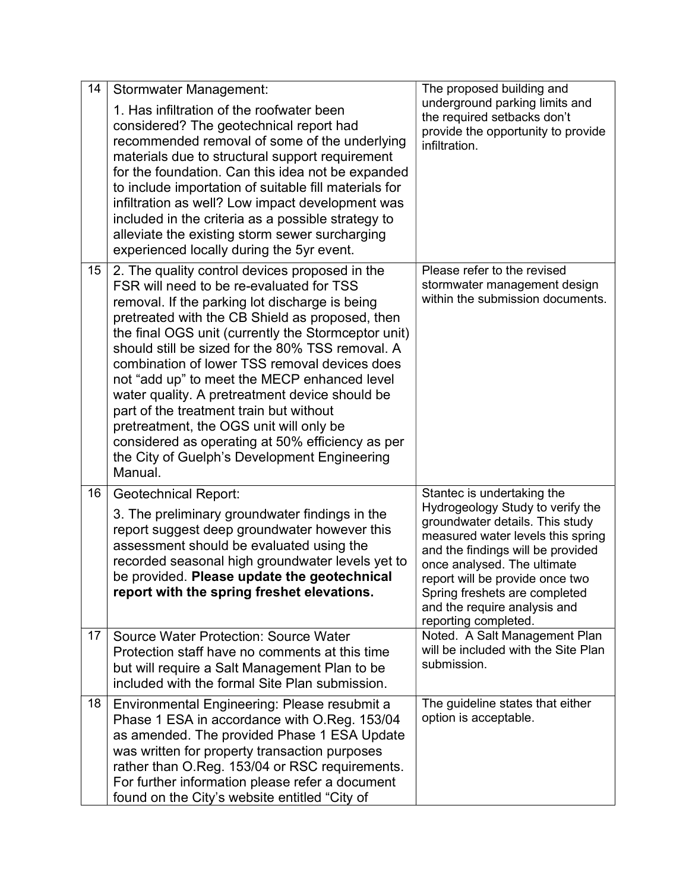| 14 | <b>Stormwater Management:</b>                                                                                                                                                                                                                                                                                                                                                                                                                                                                                                                                                                                                                                      | The proposed building and                                                                                                                                                                                                                                                                                                              |
|----|--------------------------------------------------------------------------------------------------------------------------------------------------------------------------------------------------------------------------------------------------------------------------------------------------------------------------------------------------------------------------------------------------------------------------------------------------------------------------------------------------------------------------------------------------------------------------------------------------------------------------------------------------------------------|----------------------------------------------------------------------------------------------------------------------------------------------------------------------------------------------------------------------------------------------------------------------------------------------------------------------------------------|
|    | 1. Has infiltration of the roofwater been<br>considered? The geotechnical report had<br>recommended removal of some of the underlying<br>materials due to structural support requirement<br>for the foundation. Can this idea not be expanded<br>to include importation of suitable fill materials for<br>infiltration as well? Low impact development was<br>included in the criteria as a possible strategy to<br>alleviate the existing storm sewer surcharging<br>experienced locally during the 5yr event.                                                                                                                                                    | underground parking limits and<br>the required setbacks don't<br>provide the opportunity to provide<br>infiltration.                                                                                                                                                                                                                   |
| 15 | 2. The quality control devices proposed in the<br>FSR will need to be re-evaluated for TSS<br>removal. If the parking lot discharge is being<br>pretreated with the CB Shield as proposed, then<br>the final OGS unit (currently the Stormceptor unit)<br>should still be sized for the 80% TSS removal. A<br>combination of lower TSS removal devices does<br>not "add up" to meet the MECP enhanced level<br>water quality. A pretreatment device should be<br>part of the treatment train but without<br>pretreatment, the OGS unit will only be<br>considered as operating at 50% efficiency as per<br>the City of Guelph's Development Engineering<br>Manual. | Please refer to the revised<br>stormwater management design<br>within the submission documents.                                                                                                                                                                                                                                        |
| 16 | <b>Geotechnical Report:</b><br>3. The preliminary groundwater findings in the<br>report suggest deep groundwater however this<br>assessment should be evaluated using the<br>recorded seasonal high groundwater levels yet to<br>be provided. Please update the geotechnical<br>report with the spring freshet elevations.                                                                                                                                                                                                                                                                                                                                         | Stantec is undertaking the<br>Hydrogeology Study to verify the<br>groundwater details. This study<br>measured water levels this spring<br>and the findings will be provided<br>once analysed. The ultimate<br>report will be provide once two<br>Spring freshets are completed<br>and the require analysis and<br>reporting completed. |
| 17 | <b>Source Water Protection: Source Water</b><br>Protection staff have no comments at this time<br>but will require a Salt Management Plan to be<br>included with the formal Site Plan submission.                                                                                                                                                                                                                                                                                                                                                                                                                                                                  | Noted. A Salt Management Plan<br>will be included with the Site Plan<br>submission.                                                                                                                                                                                                                                                    |
| 18 | Environmental Engineering: Please resubmit a<br>Phase 1 ESA in accordance with O.Reg. 153/04<br>as amended. The provided Phase 1 ESA Update<br>was written for property transaction purposes<br>rather than O.Reg. 153/04 or RSC requirements.<br>For further information please refer a document<br>found on the City's website entitled "City of                                                                                                                                                                                                                                                                                                                 | The guideline states that either<br>option is acceptable.                                                                                                                                                                                                                                                                              |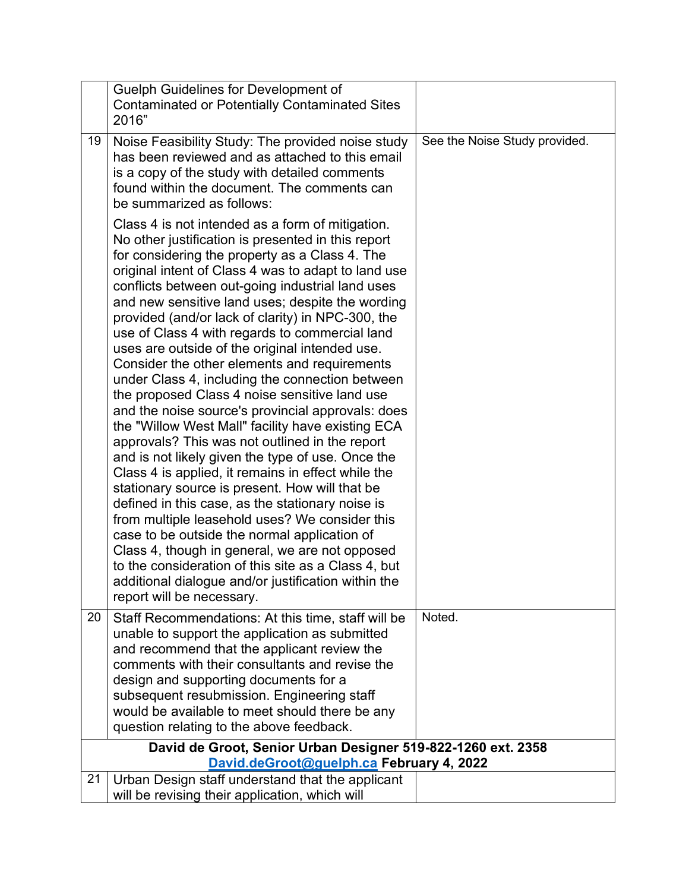|    | <b>Guelph Guidelines for Development of</b><br><b>Contaminated or Potentially Contaminated Sites</b><br>2016"                                                                                                                                                                                                                                                                                                                                                                                                                                                                                                                                                                                                                                                                                                                                                                                                                                                                                                                                                                                                                                                                                                                                                                                                    |                               |
|----|------------------------------------------------------------------------------------------------------------------------------------------------------------------------------------------------------------------------------------------------------------------------------------------------------------------------------------------------------------------------------------------------------------------------------------------------------------------------------------------------------------------------------------------------------------------------------------------------------------------------------------------------------------------------------------------------------------------------------------------------------------------------------------------------------------------------------------------------------------------------------------------------------------------------------------------------------------------------------------------------------------------------------------------------------------------------------------------------------------------------------------------------------------------------------------------------------------------------------------------------------------------------------------------------------------------|-------------------------------|
| 19 | Noise Feasibility Study: The provided noise study<br>has been reviewed and as attached to this email<br>is a copy of the study with detailed comments<br>found within the document. The comments can<br>be summarized as follows:                                                                                                                                                                                                                                                                                                                                                                                                                                                                                                                                                                                                                                                                                                                                                                                                                                                                                                                                                                                                                                                                                | See the Noise Study provided. |
|    | Class 4 is not intended as a form of mitigation.<br>No other justification is presented in this report<br>for considering the property as a Class 4. The<br>original intent of Class 4 was to adapt to land use<br>conflicts between out-going industrial land uses<br>and new sensitive land uses; despite the wording<br>provided (and/or lack of clarity) in NPC-300, the<br>use of Class 4 with regards to commercial land<br>uses are outside of the original intended use.<br>Consider the other elements and requirements<br>under Class 4, including the connection between<br>the proposed Class 4 noise sensitive land use<br>and the noise source's provincial approvals: does<br>the "Willow West Mall" facility have existing ECA<br>approvals? This was not outlined in the report<br>and is not likely given the type of use. Once the<br>Class 4 is applied, it remains in effect while the<br>stationary source is present. How will that be<br>defined in this case, as the stationary noise is<br>from multiple leasehold uses? We consider this<br>case to be outside the normal application of<br>Class 4, though in general, we are not opposed<br>to the consideration of this site as a Class 4, but<br>additional dialogue and/or justification within the<br>report will be necessary. |                               |
| 20 | Staff Recommendations: At this time, staff will be<br>unable to support the application as submitted<br>and recommend that the applicant review the<br>comments with their consultants and revise the                                                                                                                                                                                                                                                                                                                                                                                                                                                                                                                                                                                                                                                                                                                                                                                                                                                                                                                                                                                                                                                                                                            | Noted.                        |
|    | design and supporting documents for a<br>subsequent resubmission. Engineering staff<br>would be available to meet should there be any<br>question relating to the above feedback.                                                                                                                                                                                                                                                                                                                                                                                                                                                                                                                                                                                                                                                                                                                                                                                                                                                                                                                                                                                                                                                                                                                                |                               |
|    | David de Groot, Senior Urban Designer 519-822-1260 ext. 2358<br>David.deGroot@guelph.ca February 4, 2022                                                                                                                                                                                                                                                                                                                                                                                                                                                                                                                                                                                                                                                                                                                                                                                                                                                                                                                                                                                                                                                                                                                                                                                                         |                               |
| 21 | Urban Design staff understand that the applicant<br>will be revising their application, which will                                                                                                                                                                                                                                                                                                                                                                                                                                                                                                                                                                                                                                                                                                                                                                                                                                                                                                                                                                                                                                                                                                                                                                                                               |                               |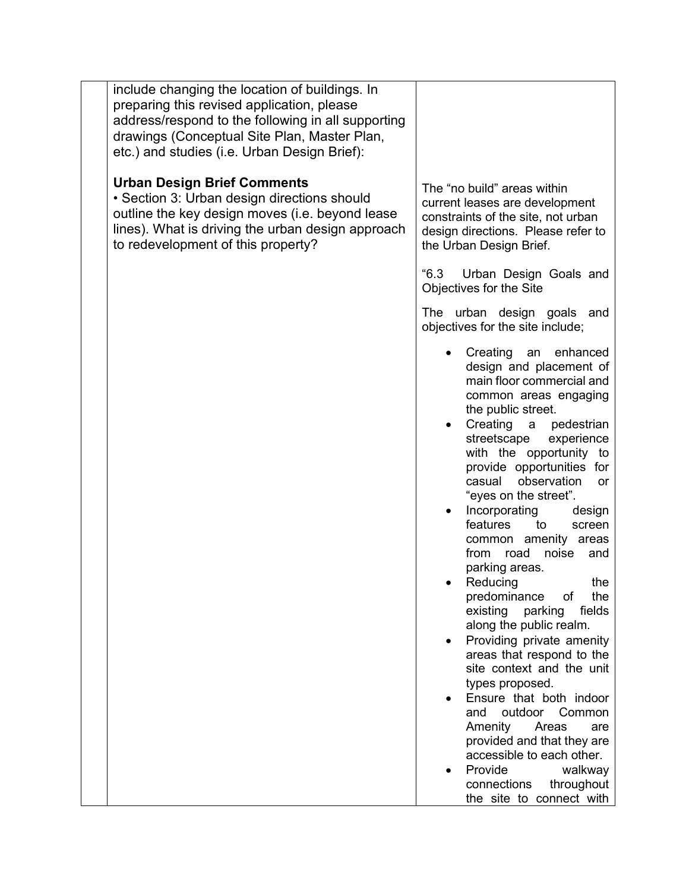| include changing the location of buildings. In<br>preparing this revised application, please<br>address/respond to the following in all supporting<br>drawings (Conceptual Site Plan, Master Plan,<br>etc.) and studies (i.e. Urban Design Brief): |                                                                                                                                                                                                                                                                                                                                                                                                                                                                                                                                                                                                                                                                                                                                                                                                                                                                                          |
|----------------------------------------------------------------------------------------------------------------------------------------------------------------------------------------------------------------------------------------------------|------------------------------------------------------------------------------------------------------------------------------------------------------------------------------------------------------------------------------------------------------------------------------------------------------------------------------------------------------------------------------------------------------------------------------------------------------------------------------------------------------------------------------------------------------------------------------------------------------------------------------------------------------------------------------------------------------------------------------------------------------------------------------------------------------------------------------------------------------------------------------------------|
| <b>Urban Design Brief Comments</b><br>• Section 3: Urban design directions should<br>outline the key design moves (i.e. beyond lease<br>lines). What is driving the urban design approach<br>to redevelopment of this property?                    | The "no build" areas within<br>current leases are development<br>constraints of the site, not urban<br>design directions. Please refer to<br>the Urban Design Brief.                                                                                                                                                                                                                                                                                                                                                                                                                                                                                                                                                                                                                                                                                                                     |
|                                                                                                                                                                                                                                                    | "6.3"<br>Urban Design Goals and<br>Objectives for the Site                                                                                                                                                                                                                                                                                                                                                                                                                                                                                                                                                                                                                                                                                                                                                                                                                               |
|                                                                                                                                                                                                                                                    | The urban design goals and<br>objectives for the site include;                                                                                                                                                                                                                                                                                                                                                                                                                                                                                                                                                                                                                                                                                                                                                                                                                           |
|                                                                                                                                                                                                                                                    | Creating an enhanced<br>design and placement of<br>main floor commercial and<br>common areas engaging<br>the public street.<br>Creating a<br>pedestrian<br>streetscape<br>experience<br>with the opportunity to<br>provide opportunities for<br>casual observation<br><b>or</b><br>"eyes on the street".<br>Incorporating<br>design<br>features<br>to<br>screen<br>common amenity areas<br>from<br>noise<br>road<br>and<br>parking areas.<br>Reducing<br>the<br>predominance<br>of<br>the<br>fields<br>existing<br>parking<br>along the public realm.<br>Providing private amenity<br>areas that respond to the<br>site context and the unit<br>types proposed.<br>Ensure that both indoor<br>outdoor Common<br>and<br>Amenity<br>Areas<br>are<br>provided and that they are<br>accessible to each other.<br>Provide<br>walkway<br>connections<br>throughout<br>the site to connect with |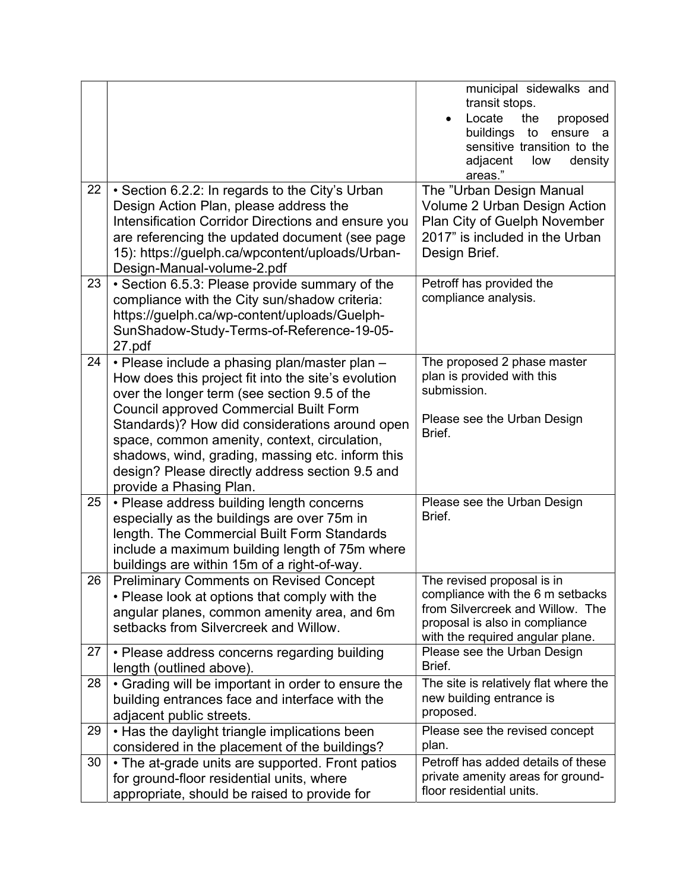| 22 | • Section 6.2.2: In regards to the City's Urban                                                                                                                                                                                                                                                                                                                                                                                           | municipal sidewalks and<br>transit stops.<br>Locate<br>the<br>proposed<br>buildings<br>to<br>ensure<br>a<br>sensitive transition to the<br>adjacent<br>low<br>density<br>areas."<br>The "Urban Design Manual |
|----|-------------------------------------------------------------------------------------------------------------------------------------------------------------------------------------------------------------------------------------------------------------------------------------------------------------------------------------------------------------------------------------------------------------------------------------------|--------------------------------------------------------------------------------------------------------------------------------------------------------------------------------------------------------------|
|    | Design Action Plan, please address the<br>Intensification Corridor Directions and ensure you<br>are referencing the updated document (see page<br>15): https://guelph.ca/wpcontent/uploads/Urban-<br>Design-Manual-volume-2.pdf                                                                                                                                                                                                           | Volume 2 Urban Design Action<br>Plan City of Guelph November<br>2017" is included in the Urban<br>Design Brief.                                                                                              |
| 23 | • Section 6.5.3: Please provide summary of the<br>compliance with the City sun/shadow criteria:<br>https://guelph.ca/wp-content/uploads/Guelph-<br>SunShadow-Study-Terms-of-Reference-19-05-<br>27.pdf                                                                                                                                                                                                                                    | Petroff has provided the<br>compliance analysis.                                                                                                                                                             |
| 24 | • Please include a phasing plan/master plan -<br>How does this project fit into the site's evolution<br>over the longer term (see section 9.5 of the<br><b>Council approved Commercial Built Form</b><br>Standards)? How did considerations around open<br>space, common amenity, context, circulation,<br>shadows, wind, grading, massing etc. inform this<br>design? Please directly address section 9.5 and<br>provide a Phasing Plan. | The proposed 2 phase master<br>plan is provided with this<br>submission.<br>Please see the Urban Design<br>Brief.                                                                                            |
| 25 | • Please address building length concerns<br>especially as the buildings are over 75m in<br>length. The Commercial Built Form Standards<br>include a maximum building length of 75m where<br>buildings are within 15m of a right-of-way.                                                                                                                                                                                                  | Please see the Urban Design<br>Brief.                                                                                                                                                                        |
| 26 | <b>Preliminary Comments on Revised Concept</b><br>• Please look at options that comply with the<br>angular planes, common amenity area, and 6m<br>setbacks from Silvercreek and Willow.                                                                                                                                                                                                                                                   | The revised proposal is in<br>compliance with the 6 m setbacks<br>from Silvercreek and Willow. The<br>proposal is also in compliance<br>with the required angular plane.                                     |
| 27 | • Please address concerns regarding building<br>length (outlined above).                                                                                                                                                                                                                                                                                                                                                                  | Please see the Urban Design<br>Brief.                                                                                                                                                                        |
| 28 | • Grading will be important in order to ensure the<br>building entrances face and interface with the<br>adjacent public streets.                                                                                                                                                                                                                                                                                                          | The site is relatively flat where the<br>new building entrance is<br>proposed.                                                                                                                               |
| 29 | • Has the daylight triangle implications been<br>considered in the placement of the buildings?                                                                                                                                                                                                                                                                                                                                            | Please see the revised concept<br>plan.                                                                                                                                                                      |
| 30 | • The at-grade units are supported. Front patios<br>for ground-floor residential units, where<br>appropriate, should be raised to provide for                                                                                                                                                                                                                                                                                             | Petroff has added details of these<br>private amenity areas for ground-<br>floor residential units.                                                                                                          |